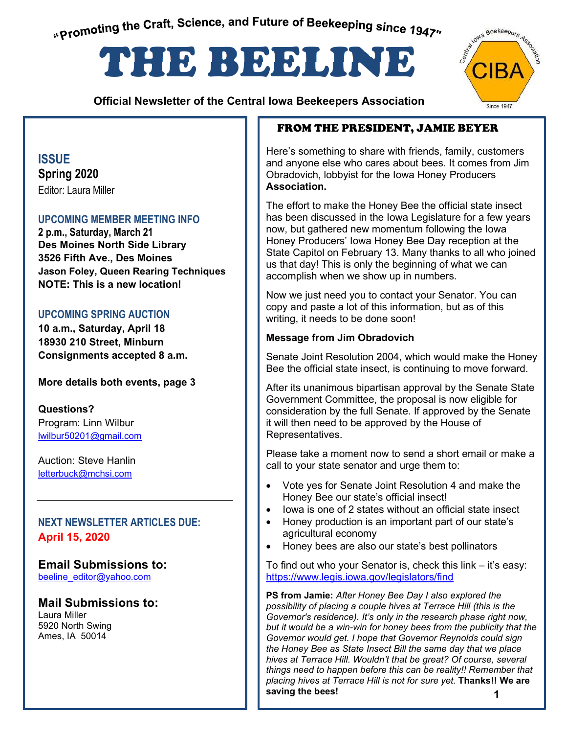<span id="page-0-0"></span>"Promoting the Craft, Science, and Future of Beekeeping since 1947"

# THE BEELINE

 **Official Newsletter of the Central Iowa Beekeepers Association** 



### **ISSUE Spring 2020**  Editor: Laura Miller

### **UPCOMING MEMBER MEETING INFO**

**2 p.m., Saturday, March 21 Des Moines North Side Library 3526 Fifth Ave., Des Moines Jason Foley, Queen Rearing Techniques NOTE: This is a new location!** 

### **UPCOMING SPRING AUCTION**

**10 a.m., Saturday, April 18 18930 210 Street, Minburn Consignments accepted 8 a.m.** 

### **More details both events, page 3**

**Questions?**  Program: Linn Wilbur lwilbur50201@gmail.com

Auction: Steve Hanlin letterbuck@mchsi.com

### **NEXT NEWSLETTER ARTICLES DUE: April 15, 2020**

### **Email Submissions to:**

**Contents**  beeline\_editor@yahoo.com

### **Mail Submissions to:**

Laura Miller 5920 North Swing Ames, IA 50014

### FROM THE PRESIDENT, JAMIE BEYER

Here's something to share with friends, family, customers and anyone else who cares about bees. It comes from Jim Obradovich, lobbyist for the Iowa Honey Producers **Association.** 

The effort to make the Honey Bee the official state insect has been discussed in the Iowa Legislature for a few years now, but gathered new momentum following the Iowa Honey Producers' Iowa Honey Bee Day reception at the State Capitol on February 13. Many thanks to all who joined us that day! This is only the beginning of what we can accomplish when we show up in numbers.

Now we just need you to contact your Senator. You can copy and paste a lot of this information, but as of this writing, it needs to be done soon!

#### **Message from Jim Obradovich**

Senate Joint Resolution 2004, which would make the Honey Bee the official state insect, is continuing to move forward.

After its unanimous bipartisan approval by the Senate State Government Committee, the proposal is now eligible for consideration by the full Senate. If approved by the Senate it will then need to be approved by the House of Representatives.

Please take a moment now to send a short email or make a call to your state senator and urge them to:

- Vote yes for Senate Joint Resolution 4 and make the Honey Bee our state's official insect!
- Iowa is one of 2 states without an official state insect
- Honey production is an important part of our state's agricultural economy
- Honey bees are also our state's best pollinators

To find out who your Senator is, check this link – it's easy: <https://www.legis.iowa.gov/legislators/find>

**1 PS from Jamie:** *After Honey Bee Day I also explored the possibility of placing a couple hives at Terrace Hill (this is the Governor's residence). It's only in the research phase right now, but it would be a win-win for honey bees from the publicity that the Governor would get. I hope that Governor Reynolds could sign the Honey Bee as State Insect Bill the same day that we place hives at Terrace Hill. Wouldn't that be great? Of course, several things need to happen before this can be reality!! Remember that placing hives at Terrace Hill is not for sure yet.* **Thanks!! We are saving the bees!**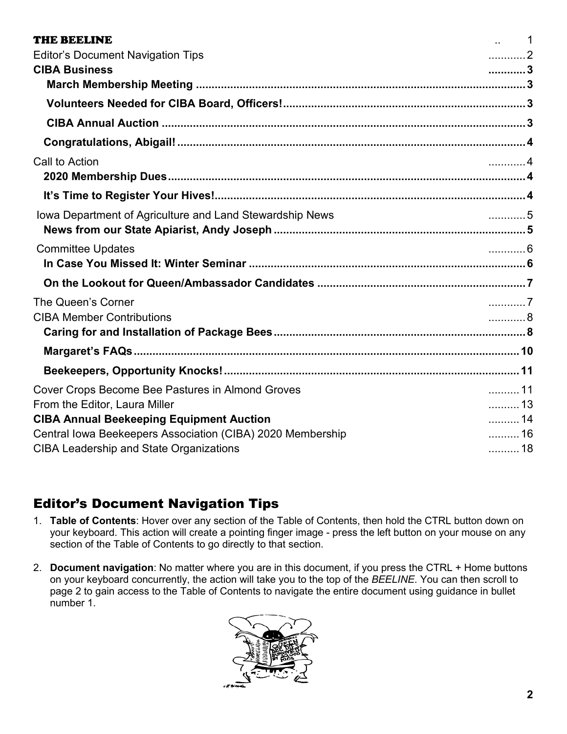| <b>THE BEELINE</b>                                         | $\ldots$ 1                |
|------------------------------------------------------------|---------------------------|
| <b>Editor's Document Navigation Tips</b>                   | . 2                       |
| <b>CIBA Business</b>                                       | 3                         |
|                                                            |                           |
|                                                            |                           |
|                                                            |                           |
|                                                            |                           |
| Call to Action                                             | . 4                       |
|                                                            |                           |
|                                                            |                           |
| Iowa Department of Agriculture and Land Stewardship News   | . 5                       |
|                                                            |                           |
| <b>Committee Updates</b>                                   | . 6                       |
|                                                            |                           |
|                                                            |                           |
| The Queen's Corner                                         | $\ldots$ . $\overline{7}$ |
| <b>CIBA Member Contributions</b>                           | . 8                       |
|                                                            |                           |
|                                                            |                           |
|                                                            |                           |
| Cover Crops Become Bee Pastures in Almond Groves           | 11                        |
| From the Editor, Laura Miller                              | 13                        |
| <b>CIBA Annual Beekeeping Equipment Auction</b>            | 14                        |
| Central Iowa Beekeepers Association (CIBA) 2020 Membership | 16                        |
| <b>CIBA Leadership and State Organizations</b>             | 18                        |

### <span id="page-1-0"></span>Editor's Document Navigation Tips

- 1. **Table of Contents**: Hover over any section of the Table of Contents, then hold the CTRL button down on your keyboard. This action will create a pointing finger image - press the left button on your mouse on any section of the Table of Contents to go directly to that section.
- 2. **Document navigation**: No matter where you are in this document, if you press the CTRL + Home buttons on your keyboard concurrently, the action will take you to the top of the *BEELINE*. You can then scroll to page 2 to gain access to the Table of Contents to navigate the entire document using guidance in bullet number 1.

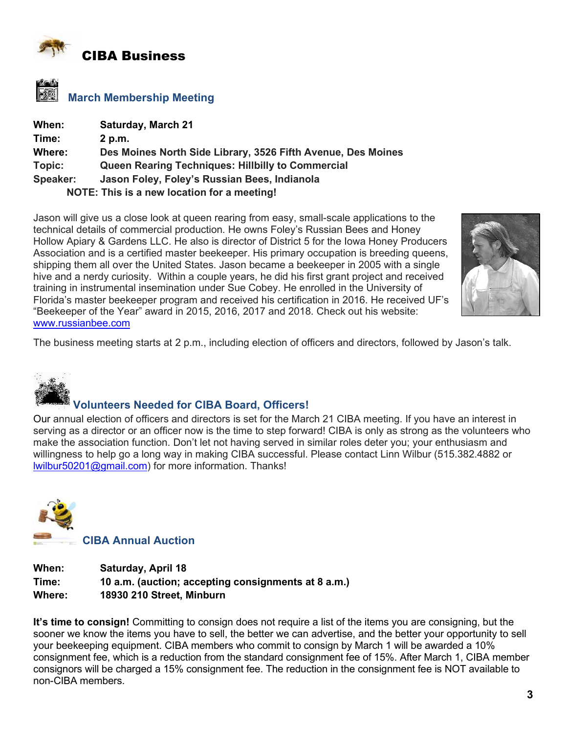<span id="page-2-0"></span>

<span id="page-2-1"></span>

| When:    | <b>Saturday, March 21</b>                                    |
|----------|--------------------------------------------------------------|
| Time:    | 2 p.m.                                                       |
| Where:   | Des Moines North Side Library, 3526 Fifth Avenue, Des Moines |
| Topic:   | <b>Queen Rearing Techniques: Hillbilly to Commercial</b>     |
| Speaker: | Jason Foley, Foley's Russian Bees, Indianola                 |
|          | NOTE: This is a new location for a meeting!                  |

Jason will give us a close look at queen rearing from easy, small-scale applications to the technical details of commercial production. He owns Foley's Russian Bees and Honey Hollow Apiary & Gardens LLC. He also is director of District 5 for the Iowa Honey Producers Association and is a certified master beekeeper. His primary occupation is breeding queens, shipping them all over the United States. Jason became a beekeeper in 2005 with a single hive and a nerdy curiosity. Within a couple years, he did his first grant project and received training in instrumental insemination under Sue Cobey. He enrolled in the University of Florida's master beekeeper program and received his certification in 2016. He received UF's "Beekeeper of the Year" award in 2015, 2016, 2017 and 2018. Check out his website: [www.russianbee.com](http://www.russianbee.com/)



The business meeting starts at 2 p.m., including election of officers and directors, followed by Jason's talk.

<span id="page-2-2"></span>

### **Volunteers Needed for CIBA Board, Officers!**

Our annual election of officers and directors is set for the March 21 CIBA meeting. If you have an interest in serving as a director or an officer now is the time to step forward! CIBA is only as strong as the volunteers who make the association function. Don't let not having served in similar roles deter you; your enthusiasm and willingness to help go a long way in making CIBA successful. Please contact Linn Wilbur (515.382.4882 or [lwilbur50201@gmail.com](mailto:lwilbur50201@gmail.com)) for more information. Thanks!

<span id="page-2-3"></span>

| When:  | <b>Saturday, April 18</b>                           |
|--------|-----------------------------------------------------|
| Time:  | 10 a.m. (auction; accepting consignments at 8 a.m.) |
| Where: | 18930 210 Street, Minburn                           |

**It's time to consign!** Committing to consign does not require a list of the items you are consigning, but the sooner we know the items you have to sell, the better we can advertise, and the better your opportunity to sell your beekeeping equipment. CIBA members who commit to consign by March 1 will be awarded a 10% consignment fee, which is a reduction from the standard consignment fee of 15%. After March 1, CIBA member consignors will be charged a 15% consignment fee. The reduction in the consignment fee is NOT available to non-CIBA members.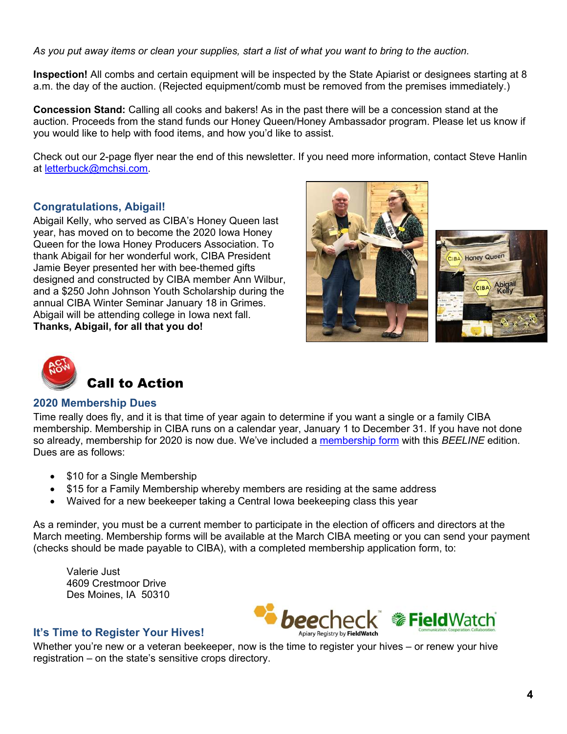*As you put away items or clean your supplies, start a list of what you want to bring to the auction.* 

**Inspection!** All combs and certain equipment will be inspected by the State Apiarist or designees starting at 8 a.m. the day of the auction. (Rejected equipment/comb must be removed from the premises immediately.)

**Concession Stand:** Calling all cooks and bakers! As in the past there will be a concession stand at the auction. Proceeds from the stand funds our Honey Queen/Honey Ambassador program. Please let us know if you would like to help with food items, and how you'd like to assist.

Check out our 2-page flyer near the end of this newsletter. If you need more information, contact Steve Hanlin at [letterbuck@mchsi.com.](mailto:letterbuck@mchsi.com)

### <span id="page-3-0"></span>**Congratulations, Abigail!**

Abigail Kelly, who served as CIBA's Honey Queen last year, has moved on to become the 2020 Iowa Honey Queen for the Iowa Honey Producers Association. To thank Abigail for her wonderful work, CIBA President Jamie Beyer presented her with bee-themed gifts designed and constructed by CIBA member Ann Wilbur, and a \$250 John Johnson Youth Scholarship during the annual CIBA Winter Seminar January 18 in Grimes. Abigail will be attending college in Iowa next fall. **Thanks, Abigail, for all that you do!** 





<span id="page-3-1"></span>

### <span id="page-3-2"></span>**2020 Membership Dues**

Time really does fly, and it is that time of year again to determine if you want a single or a family CIBA membership. Membership in CIBA runs on a calendar year, January 1 to December 31. If you have not done so already, membership for 2020 is now due. We've included a membership form with this *BEELINE* edition. Dues are as follows:

- \$10 for a Single Membership
- \$15 for a Family Membership whereby members are residing at the same address
- Waived for a new beekeeper taking a Central Iowa beekeeping class this year

As a reminder, you must be a current member to participate in the election of officers and directors at the March meeting. Membership forms will be available at the March CIBA meeting or you can send your payment (checks should be made payable to CIBA), with a completed membership application form, to:

Valerie Just 4609 Crestmoor Drive Des Moines, IA 50310



#### <span id="page-3-3"></span>**It's Time to Register Your Hives!**

Whether you're new or a veteran beekeeper, now is the time to register your hives – or renew your hive registration – on the state's sensitive crops directory.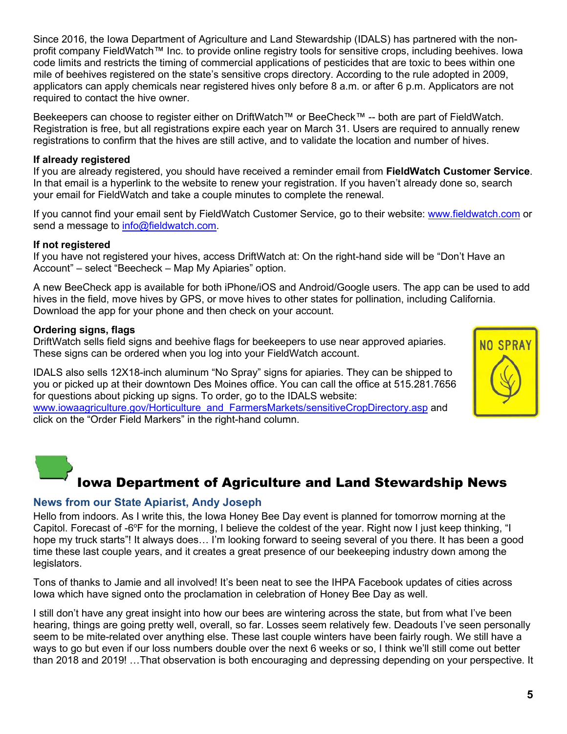Since 2016, the Iowa Department of Agriculture and Land Stewardship (IDALS) has partnered with the nonprofit company FieldWatch™ Inc. to provide online registry tools for sensitive crops, including beehives. Iowa code limits and restricts the timing of commercial applications of pesticides that are toxic to bees within one mile of beehives registered on the state's sensitive crops directory. According to the rule adopted in 2009, applicators can apply chemicals near registered hives only before 8 a.m. or after 6 p.m. Applicators are not required to contact the hive owner.

Beekeepers can choose to register either on DriftWatch™ or BeeCheck™ -- both are part of FieldWatch. Registration is free, but all registrations expire each year on March 31. Users are required to annually renew registrations to confirm that the hives are still active, and to validate the location and number of hives.

#### **If already registered**

If you are already registered, you should have received a reminder email from **FieldWatch Customer Service**. In that email is a hyperlink to the website to renew your registration. If you haven't already done so, search your email for FieldWatch and take a couple minutes to complete the renewal.

If you cannot find your email sent by FieldWatch Customer Service, go to their website: [www.fieldwatch.com](http://www.fieldwatch.com/) or send a message to [info@fieldwatch.com.](mailto:info@fieldwatch.com)

#### **If not registered**

If you have not registered your hives, access DriftWatch at: On the right-hand side will be "Don't Have an Account" – select "Beecheck – Map My Apiaries" option.

A new BeeCheck app is available for both iPhone/iOS and Android/Google users. The app can be used to add hives in the field, move hives by GPS, or move hives to other states for pollination, including California. Download the app for your phone and then check on your account.

#### **Ordering signs, flags**

DriftWatch sells field signs and beehive flags for beekeepers to use near approved apiaries. These signs can be ordered when you log into your FieldWatch account.

IDALS also sells 12X18-inch aluminum "No Spray" signs for apiaries. They can be shipped to you or picked up at their downtown Des Moines office. You can call the office at 515.281.7656 for questions about picking up signs. To order, go to the IDALS website:

<span id="page-4-0"></span>[www.iowaagriculture.gov/Horticulture\\_and\\_FarmersMarkets/sensitiveCropDirectory.asp](http://www.iowaagriculture.gov/Horticulture_and_FarmersMarkets/sensitiveCropDirectory.asp) and click on the "Order Field Markers" in the right-hand column.



### Iowa Department of Agriculture and Land Stewardship News

### <span id="page-4-1"></span>**News from our State Apiarist, Andy Joseph**

Hello from indoors. As I write this, the Iowa Honey Bee Day event is planned for tomorrow morning at the Capitol. Forecast of -6 $\degree$ F for the morning, I believe the coldest of the year. Right now I just keep thinking, "I hope my truck starts"! It always does… I'm looking forward to seeing several of you there. It has been a good time these last couple years, and it creates a great presence of our beekeeping industry down among the legislators.

Tons of thanks to Jamie and all involved! It's been neat to see the IHPA Facebook updates of cities across Iowa which have signed onto the proclamation in celebration of Honey Bee Day as well.

I still don't have any great insight into how our bees are wintering across the state, but from what I've been hearing, things are going pretty well, overall, so far. Losses seem relatively few. Deadouts I've seen personally seem to be mite-related over anything else. These last couple winters have been fairly rough. We still have a ways to go but even if our loss numbers double over the next 6 weeks or so, I think we'll still come out better than 2018 and 2019! …That observation is both encouraging and depressing depending on your perspective. It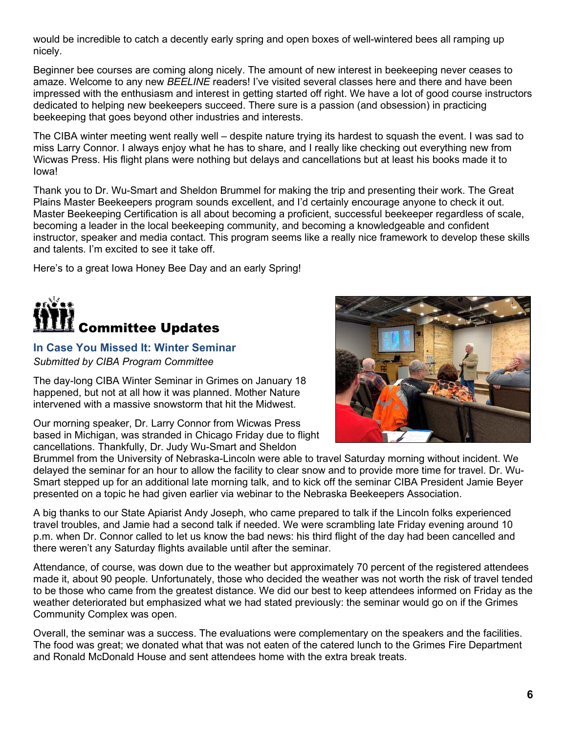would be incredible to catch a decently early spring and open boxes of well-wintered bees all ramping up nicely.

Beginner bee courses are coming along nicely. The amount of new interest in beekeeping never ceases to amaze. Welcome to any new *BEELINE* readers! I've visited several classes here and there and have been impressed with the enthusiasm and interest in getting started off right. We have a lot of good course instructors dedicated to helping new beekeepers succeed. There sure is a passion (and obsession) in practicing beekeeping that goes beyond other industries and interests.

The CIBA winter meeting went really well – despite nature trying its hardest to squash the event. I was sad to miss Larry Connor. I always enjoy what he has to share, and I really like checking out everything new from Wicwas Press. His flight plans were nothing but delays and cancellations but at least his books made it to Iowa!

Thank you to Dr. Wu-Smart and Sheldon Brummel for making the trip and presenting their work. The Great Plains Master Beekeepers program sounds excellent, and I'd certainly encourage anyone to check it out. Master Beekeeping Certification is all about becoming a proficient, successful beekeeper regardless of scale, becoming a leader in the local beekeeping community, and becoming a knowledgeable and confident instructor, speaker and media contact. This program seems like a really nice framework to develop these skills and talents. I'm excited to see it take off.

Here's to a great Iowa Honey Bee Day and an early Spring!

<span id="page-5-0"></span>

### <span id="page-5-1"></span>**In Case You Missed It: Winter Seminar**

*Submitted by CIBA Program Committee* 

The day-long CIBA Winter Seminar in Grimes on January 18 happened, but not at all how it was planned. Mother Nature intervened with a massive snowstorm that hit the Midwest.

Our morning speaker, Dr. Larry Connor from Wicwas Press based in Michigan, was stranded in Chicago Friday due to flight cancellations. Thankfully, Dr. Judy Wu-Smart and Sheldon



Brummel from the University of Nebraska-Lincoln were able to travel Saturday morning without incident. We delayed the seminar for an hour to allow the facility to clear snow and to provide more time for travel. Dr. Wu-Smart stepped up for an additional late morning talk, and to kick off the seminar CIBA President Jamie Beyer presented on a topic he had given earlier via webinar to the Nebraska Beekeepers Association.

A big thanks to our State Apiarist Andy Joseph, who came prepared to talk if the Lincoln folks experienced travel troubles, and Jamie had a second talk if needed. We were scrambling late Friday evening around 10 p.m. when Dr. Connor called to let us know the bad news: his third flight of the day had been cancelled and there weren't any Saturday flights available until after the seminar.

Attendance, of course, was down due to the weather but approximately 70 percent of the registered attendees made it, about 90 people. Unfortunately, those who decided the weather was not worth the risk of travel tended to be those who came from the greatest distance. We did our best to keep attendees informed on Friday as the weather deteriorated but emphasized what we had stated previously: the seminar would go on if the Grimes Community Complex was open.

Overall, the seminar was a success. The evaluations were complementary on the speakers and the facilities. The food was great; we donated what that was not eaten of the catered lunch to the Grimes Fire Department and Ronald McDonald House and sent attendees home with the extra break treats.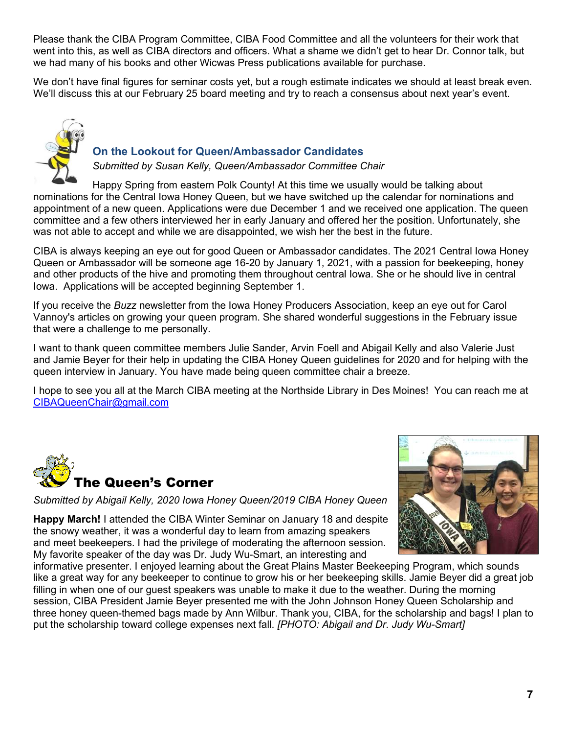Please thank the CIBA Program Committee, CIBA Food Committee and all the volunteers for their work that went into this, as well as CIBA directors and officers. What a shame we didn't get to hear Dr. Connor talk, but we had many of his books and other Wicwas Press publications available for purchase.

We don't have final figures for seminar costs yet, but a rough estimate indicates we should at least break even. We'll discuss this at our February 25 board meeting and try to reach a consensus about next year's event.



### <span id="page-6-0"></span>**On the Lookout for Queen/Ambassador Candidates**

*Submitted by Susan Kelly, Queen/Ambassador Committee Chair* 

Happy Spring from eastern Polk County! At this time we usually would be talking about nominations for the Central Iowa Honey Queen, but we have switched up the calendar for nominations and appointment of a new queen. Applications were due December 1 and we received one application. The queen committee and a few others interviewed her in early January and offered her the position. Unfortunately, she was not able to accept and while we are disappointed, we wish her the best in the future.

CIBA is always keeping an eye out for good Queen or Ambassador candidates. The 2021 Central Iowa Honey Queen or Ambassador will be someone age 16-20 by January 1, 2021, with a passion for beekeeping, honey and other products of the hive and promoting them throughout central Iowa. She or he should live in central Iowa. Applications will be accepted beginning September 1.

If you receive the *Buzz* newsletter from the Iowa Honey Producers Association, keep an eye out for Carol Vannoy's articles on growing your queen program. She shared wonderful suggestions in the February issue that were a challenge to me personally.

I want to thank queen committee members Julie Sander, Arvin Foell and Abigail Kelly and also Valerie Just and Jamie Beyer for their help in updating the CIBA Honey Queen guidelines for 2020 and for helping with the queen interview in January. You have made being queen committee chair a breeze.

I hope to see you all at the March CIBA meeting at the Northside Library in Des Moines! You can reach me at [CIBAQueenChair@gmail.com](mailto:CIBAQueenChair@gmail.com)

<span id="page-6-1"></span>

*Submitted by Abigail Kelly, 2020 Iowa Honey Queen/2019 CIBA Honey Queen* 

**Happy March!** I attended the CIBA Winter Seminar on January 18 and despite the snowy weather, it was a wonderful day to learn from amazing speakers and meet beekeepers. I had the privilege of moderating the afternoon session. My favorite speaker of the day was Dr. Judy Wu-Smart, an interesting and



informative presenter. I enjoyed learning about the Great Plains Master Beekeeping Program, which sounds like a great way for any beekeeper to continue to grow his or her beekeeping skills. Jamie Beyer did a great job filling in when one of our guest speakers was unable to make it due to the weather. During the morning session, CIBA President Jamie Beyer presented me with the John Johnson Honey Queen Scholarship and three honey queen-themed bags made by Ann Wilbur. Thank you, CIBA, for the scholarship and bags! I plan to put the scholarship toward college expenses next fall. *[PHOTO: Abigail and Dr. Judy Wu-Smart]*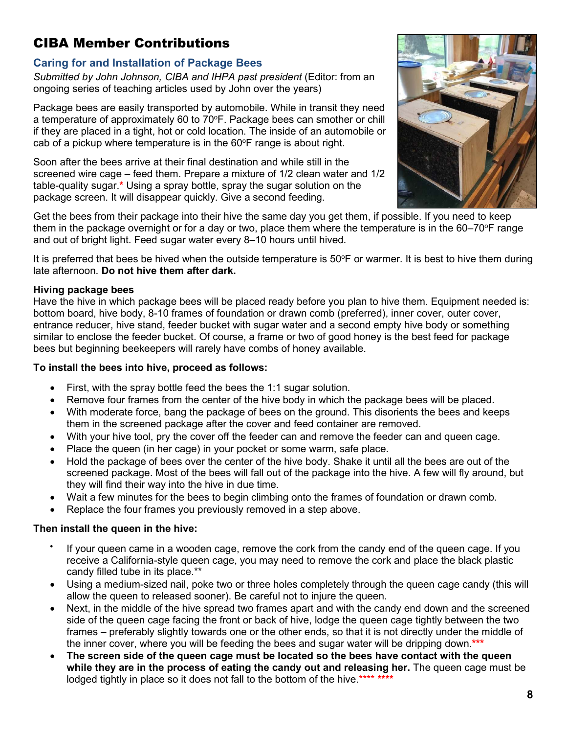### <span id="page-7-0"></span>CIBA Member Contributions

### <span id="page-7-1"></span>**Caring for and Installation of Package Bees**

*Submitted by John Johnson, CIBA and IHPA past president* (Editor: from an ongoing series of teaching articles used by John over the years)

Package bees are easily transported by automobile. While in transit they need a temperature of approximately 60 to 70°F. Package bees can smother or chill if they are placed in a tight, hot or cold location. The inside of an automobile or cab of a pickup where temperature is in the  $60^{\circ}$ F range is about right.

Soon after the bees arrive at their final destination and while still in the screened wire cage – feed them. Prepare a mixture of 1/2 clean water and 1/2 table-quality sugar.**\*** Using a spray bottle, spray the sugar solution on the package screen. It will disappear quickly. Give a second feeding.



Get the bees from their package into their hive the same day you get them, if possible. If you need to keep them in the package overnight or for a day or two, place them where the temperature is in the  $60-70^{\circ}$ F range and out of bright light. Feed sugar water every 8–10 hours until hived.

It is preferred that bees be hived when the outside temperature is 50°F or warmer. It is best to hive them during late afternoon. **Do not hive them after dark.**

### **Hiving package bees**

Have the hive in which package bees will be placed ready before you plan to hive them. Equipment needed is: bottom board, hive body, 8-10 frames of foundation or drawn comb (preferred), inner cover, outer cover, entrance reducer, hive stand, feeder bucket with sugar water and a second empty hive body or something similar to enclose the feeder bucket. Of course, a frame or two of good honey is the best feed for package bees but beginning beekeepers will rarely have combs of honey available.

### **To install the bees into hive, proceed as follows:**

- First, with the spray bottle feed the bees the 1:1 sugar solution.
- Remove four frames from the center of the hive body in which the package bees will be placed.
- With moderate force, bang the package of bees on the ground. This disorients the bees and keeps them in the screened package after the cover and feed container are removed.
- With your hive tool, pry the cover off the feeder can and remove the feeder can and queen cage.
- Place the queen (in her cage) in your pocket or some warm, safe place.
- Hold the package of bees over the center of the hive body. Shake it until all the bees are out of the screened package. Most of the bees will fall out of the package into the hive. A few will fly around, but they will find their way into the hive in due time.
- Wait a few minutes for the bees to begin climbing onto the frames of foundation or drawn comb.
- Replace the four frames you previously removed in a step above.

### **Then install the queen in the hive:**

- $\bullet$  If your queen came in a wooden cage, remove the cork from the candy end of the queen cage. If you receive a California-style queen cage, you may need to remove the cork and place the black plastic candy filled tube in its place.\*\*
- Using a medium-sized nail, poke two or three holes completely through the queen cage candy (this will allow the queen to released sooner). Be careful not to injure the queen.
- Next, in the middle of the hive spread two frames apart and with the candy end down and the screened side of the queen cage facing the front or back of hive, lodge the queen cage tightly between the two frames – preferably slightly towards one or the other ends, so that it is not directly under the middle of the inner cover, where you will be feeding the bees and sugar water will be dripping down.**\*\*\***
- **The screen side of the queen cage must be located so the bees have contact with the queen while they are in the process of eating the candy out and releasing her.** The queen cage must be lodged tightly in place so it does not fall to the bottom of the hive.\*\*\*\* **\*\*\*\***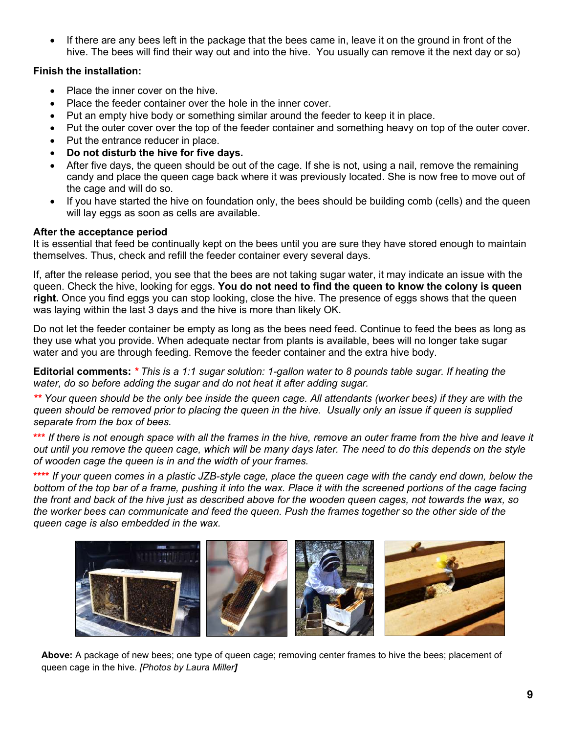If there are any bees left in the package that the bees came in, leave it on the ground in front of the hive. The bees will find their way out and into the hive. You usually can remove it the next day or so)

#### **Finish the installation:**

- Place the inner cover on the hive.
- Place the feeder container over the hole in the inner cover.
- Put an empty hive body or something similar around the feeder to keep it in place.
- Put the outer cover over the top of the feeder container and something heavy on top of the outer cover.
- Put the entrance reducer in place.
- **Do not disturb the hive for five days.**
- After five days, the queen should be out of the cage. If she is not, using a nail, remove the remaining candy and place the queen cage back where it was previously located. She is now free to move out of the cage and will do so.
- If you have started the hive on foundation only, the bees should be building comb (cells) and the queen will lay eggs as soon as cells are available.

#### **After the acceptance period**

It is essential that feed be continually kept on the bees until you are sure they have stored enough to maintain themselves. Thus, check and refill the feeder container every several days.

If, after the release period, you see that the bees are not taking sugar water, it may indicate an issue with the queen. Check the hive, looking for eggs. **You do not need to find the queen to know the colony is queen right.** Once you find eggs you can stop looking, close the hive. The presence of eggs shows that the queen was laying within the last 3 days and the hive is more than likely OK.

Do not let the feeder container be empty as long as the bees need feed. Continue to feed the bees as long as they use what you provide. When adequate nectar from plants is available, bees will no longer take sugar water and you are through feeding. Remove the feeder container and the extra hive body.

**Editorial comments:** *\* This is a 1:1 sugar solution: 1-gallon water to 8 pounds table sugar. If heating the water, do so before adding the sugar and do not heat it after adding sugar.* 

*\*\* Your queen should be the only bee inside the queen cage. All attendants (worker bees) if they are with the queen should be removed prior to placing the queen in the hive. Usually only an issue if queen is supplied separate from the box of bees.* 

**\*\*\*** *If there is not enough space with all the frames in the hive, remove an outer frame from the hive and leave it out until you remove the queen cage, which will be many days later. The need to do this depends on the style of wooden cage the queen is in and the width of your frames.* 

**\*\*\*\*** *If your queen comes in a plastic JZB-style cage, place the queen cage with the candy end down, below the*  bottom of the top bar of a frame, pushing it into the wax. Place it with the screened portions of the cage facing *the front and back of the hive just as described above for the wooden queen cages, not towards the wax, so the worker bees can communicate and feed the queen. Push the frames together so the other side of the queen cage is also embedded in the wax.* 



**Above:** A package of new bees; one type of queen cage; removing center frames to hive the bees; placement of queen cage in the hive. *[Photos by Laura Miller]*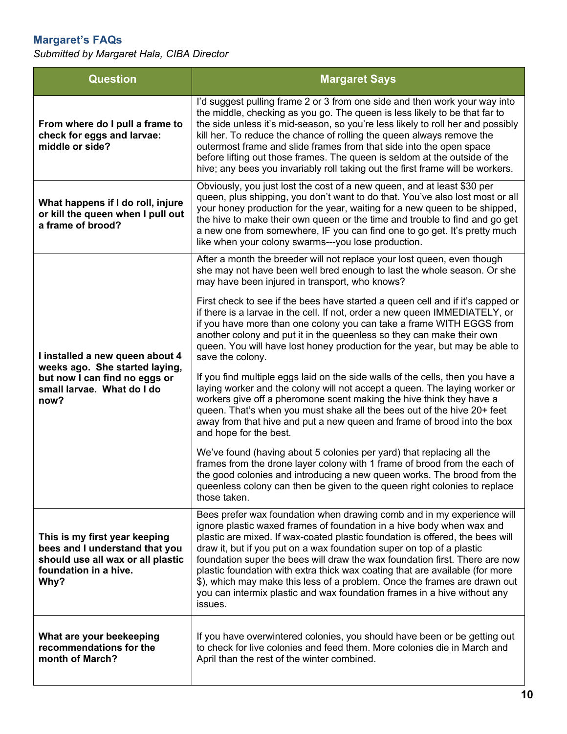### <span id="page-9-0"></span>**Margaret's FAQs**

*Submitted by Margaret Hala, CIBA Director* 

| <b>Question</b>                                                                                                                          | <b>Margaret Says</b>                                                                                                                                                                                                                                                                                                                                                                                                                                                                                                                                                                                                                         |  |
|------------------------------------------------------------------------------------------------------------------------------------------|----------------------------------------------------------------------------------------------------------------------------------------------------------------------------------------------------------------------------------------------------------------------------------------------------------------------------------------------------------------------------------------------------------------------------------------------------------------------------------------------------------------------------------------------------------------------------------------------------------------------------------------------|--|
| From where do I pull a frame to<br>check for eggs and larvae:<br>middle or side?                                                         | I'd suggest pulling frame 2 or 3 from one side and then work your way into<br>the middle, checking as you go. The queen is less likely to be that far to<br>the side unless it's mid-season, so you're less likely to roll her and possibly<br>kill her. To reduce the chance of rolling the queen always remove the<br>outermost frame and slide frames from that side into the open space<br>before lifting out those frames. The queen is seldom at the outside of the<br>hive; any bees you invariably roll taking out the first frame will be workers.                                                                                  |  |
| What happens if I do roll, injure<br>or kill the queen when I pull out<br>a frame of brood?                                              | Obviously, you just lost the cost of a new queen, and at least \$30 per<br>queen, plus shipping, you don't want to do that. You've also lost most or all<br>your honey production for the year, waiting for a new queen to be shipped,<br>the hive to make their own queen or the time and trouble to find and go get<br>a new one from somewhere, IF you can find one to go get. It's pretty much<br>like when your colony swarms---you lose production.                                                                                                                                                                                    |  |
| I installed a new queen about 4<br>weeks ago. She started laying,<br>but now I can find no eggs or<br>small larvae. What do I do<br>now? | After a month the breeder will not replace your lost queen, even though<br>she may not have been well bred enough to last the whole season. Or she<br>may have been injured in transport, who knows?                                                                                                                                                                                                                                                                                                                                                                                                                                         |  |
|                                                                                                                                          | First check to see if the bees have started a queen cell and if it's capped or<br>if there is a larvae in the cell. If not, order a new queen IMMEDIATELY, or<br>if you have more than one colony you can take a frame WITH EGGS from<br>another colony and put it in the queenless so they can make their own<br>queen. You will have lost honey production for the year, but may be able to<br>save the colony.                                                                                                                                                                                                                            |  |
|                                                                                                                                          | If you find multiple eggs laid on the side walls of the cells, then you have a<br>laying worker and the colony will not accept a queen. The laying worker or<br>workers give off a pheromone scent making the hive think they have a<br>queen. That's when you must shake all the bees out of the hive 20+ feet<br>away from that hive and put a new queen and frame of brood into the box<br>and hope for the best.                                                                                                                                                                                                                         |  |
|                                                                                                                                          | We've found (having about 5 colonies per yard) that replacing all the<br>frames from the drone layer colony with 1 frame of brood from the each of<br>the good colonies and introducing a new queen works. The brood from the<br>queenless colony can then be given to the queen right colonies to replace<br>those taken.                                                                                                                                                                                                                                                                                                                   |  |
| This is my first year keeping<br>bees and I understand that you<br>should use all wax or all plastic<br>foundation in a hive.<br>Why?    | Bees prefer wax foundation when drawing comb and in my experience will<br>ignore plastic waxed frames of foundation in a hive body when wax and<br>plastic are mixed. If wax-coated plastic foundation is offered, the bees will<br>draw it, but if you put on a wax foundation super on top of a plastic<br>foundation super the bees will draw the wax foundation first. There are now<br>plastic foundation with extra thick wax coating that are available (for more<br>\$), which may make this less of a problem. Once the frames are drawn out<br>you can intermix plastic and wax foundation frames in a hive without any<br>issues. |  |
| What are your beekeeping<br>recommendations for the<br>month of March?                                                                   | If you have overwintered colonies, you should have been or be getting out<br>to check for live colonies and feed them. More colonies die in March and<br>April than the rest of the winter combined.                                                                                                                                                                                                                                                                                                                                                                                                                                         |  |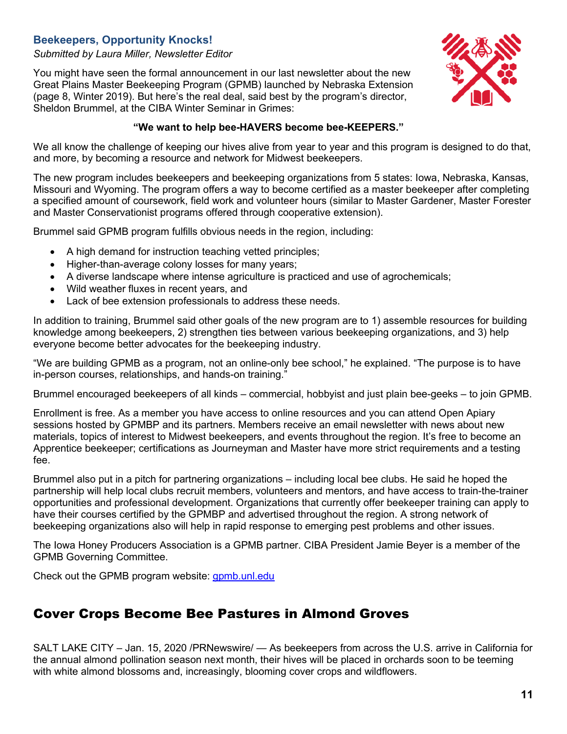### <span id="page-10-0"></span>**Beekeepers, Opportunity Knocks!**

#### *Submitted by Laura Miller, Newsletter Editor*

You might have seen the formal announcement in our last newsletter about the new Great Plains Master Beekeeping Program (GPMB) launched by Nebraska Extension (page 8, Winter 2019). But here's the real deal, said best by the program's director, Sheldon Brummel, at the CIBA Winter Seminar in Grimes:



#### **"We want to help bee-HAVERS become bee-KEEPERS."**

We all know the challenge of keeping our hives alive from year to year and this program is designed to do that, and more, by becoming a resource and network for Midwest beekeepers.

The new program includes beekeepers and beekeeping organizations from 5 states: Iowa, Nebraska, Kansas, Missouri and Wyoming. The program offers a way to become certified as a master beekeeper after completing a specified amount of coursework, field work and volunteer hours (similar to Master Gardener, Master Forester and Master Conservationist programs offered through cooperative extension).

Brummel said GPMB program fulfills obvious needs in the region, including:

- A high demand for instruction teaching vetted principles;
- Higher-than-average colony losses for many years;
- A diverse landscape where intense agriculture is practiced and use of agrochemicals;
- Wild weather fluxes in recent years, and
- Lack of bee extension professionals to address these needs.

In addition to training, Brummel said other goals of the new program are to 1) assemble resources for building knowledge among beekeepers, 2) strengthen ties between various beekeeping organizations, and 3) help everyone become better advocates for the beekeeping industry.

"We are building GPMB as a program, not an online-only bee school," he explained. "The purpose is to have in-person courses, relationships, and hands-on training."

Brummel encouraged beekeepers of all kinds – commercial, hobbyist and just plain bee-geeks – to join GPMB.

Enrollment is free. As a member you have access to online resources and you can attend Open Apiary sessions hosted by GPMBP and its partners. Members receive an email newsletter with news about new materials, topics of interest to Midwest beekeepers, and events throughout the region. It's free to become an Apprentice beekeeper; certifications as Journeyman and Master have more strict requirements and a testing fee.

Brummel also put in a pitch for partnering organizations – including local bee clubs. He said he hoped the partnership will help local clubs recruit members, volunteers and mentors, and have access to train-the-trainer opportunities and professional development. Organizations that currently offer beekeeper training can apply to have their courses certified by the GPMBP and advertised throughout the region. A strong network of beekeeping organizations also will help in rapid response to emerging pest problems and other issues.

The Iowa Honey Producers Association is a GPMB partner. CIBA President Jamie Beyer is a member of the GPMB Governing Committee.

Check out the GPMB program website: [gpmb.unl.edu](https://gpmbp.uni.edu/)

### <span id="page-10-1"></span>Cover Crops Become Bee Pastures in Almond Groves

SALT LAKE CITY – Jan. 15, 2020 /PRNewswire/ — As beekeepers from across the U.S. arrive in California for the annual almond pollination season next month, their hives will be placed in orchards soon to be teeming with white almond blossoms and, increasingly, blooming cover crops and wildflowers.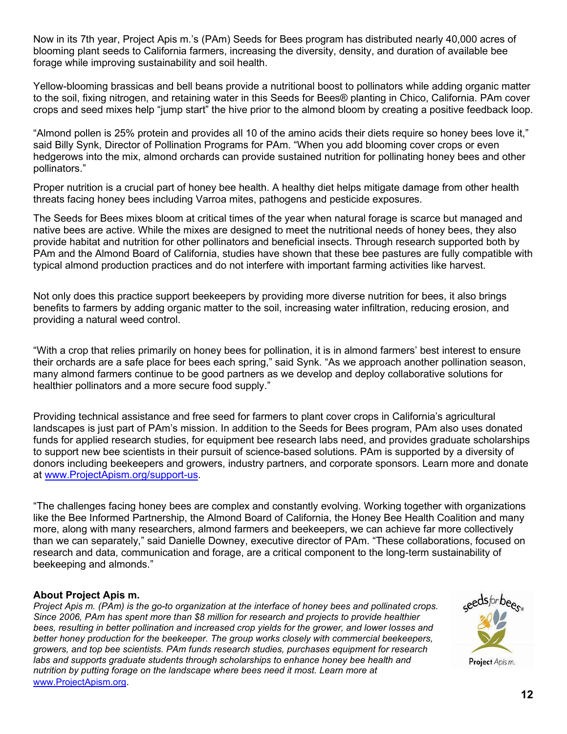Now in its 7th year, Project Apis m.'s (PAm) Seeds for Bees program has distributed nearly 40,000 acres of blooming plant seeds to California farmers, increasing the diversity, density, and duration of available bee forage while improving sustainability and soil health.

Yellow-blooming brassicas and bell beans provide a nutritional boost to pollinators while adding organic matter to the soil, fixing nitrogen, and retaining water in this Seeds for Bees® planting in Chico, California. PAm cover crops and seed mixes help "jump start" the hive prior to the almond bloom by creating a positive feedback loop.

"Almond pollen is 25% protein and provides all 10 of the amino acids their diets require so honey bees love it," said Billy Synk, Director of Pollination Programs for PAm. "When you add blooming cover crops or even hedgerows into the mix, almond orchards can provide sustained nutrition for pollinating honey bees and other pollinators."

Proper nutrition is a crucial part of honey bee health. A healthy diet helps mitigate damage from other health threats facing honey bees including Varroa mites, pathogens and pesticide exposures.

The Seeds for Bees mixes bloom at critical times of the year when natural forage is scarce but managed and native bees are active. While the mixes are designed to meet the nutritional needs of honey bees, they also provide habitat and nutrition for other pollinators and beneficial insects. Through research supported both by PAm and the Almond Board of California, studies have shown that these bee pastures are fully compatible with typical almond production practices and do not interfere with important farming activities like harvest.

Not only does this practice support beekeepers by providing more diverse nutrition for bees, it also brings benefits to farmers by adding organic matter to the soil, increasing water infiltration, reducing erosion, and providing a natural weed control.

"With a crop that relies primarily on honey bees for pollination, it is in almond farmers' best interest to ensure their orchards are a safe place for bees each spring," said Synk. "As we approach another pollination season, many almond farmers continue to be good partners as we develop and deploy collaborative solutions for healthier pollinators and a more secure food supply."

Providing technical assistance and free seed for farmers to plant cover crops in California's agricultural landscapes is just part of PAm's mission. In addition to the Seeds for Bees program, PAm also uses donated funds for applied research studies, for equipment bee research labs need, and provides graduate scholarships to support new bee scientists in their pursuit of science-based solutions. PAm is supported by a diversity of donors including beekeepers and growers, industry partners, and corporate sponsors. Learn more and donate at [www.ProjectApism.org/support-us.](http://www.projectapism.org/support-us)

"The challenges facing honey bees are complex and constantly evolving. Working together with organizations like the Bee Informed Partnership, the Almond Board of California, the Honey Bee Health Coalition and many more, along with many researchers, almond farmers and beekeepers, we can achieve far more collectively than we can separately," said Danielle Downey, executive director of PAm. "These collaborations, focused on research and data, communication and forage, are a critical component to the long-term sustainability of beekeeping and almonds."

#### **About Project Apis m.**

*Project Apis m. (PAm) is the go-to organization at the interface of honey bees and pollinated crops. Since 2006, PAm has spent more than \$8 million for research and projects to provide healthier bees, resulting in better pollination and increased crop yields for the grower, and lower losses and better honey production for the beekeeper. The group works closely with commercial beekeepers, growers, and top bee scientists. PAm funds research studies, purchases equipment for research*  labs and supports graduate students through scholarships to enhance honey bee health and *nutrition by putting forage on the landscape where bees need it most. Learn more at*  [www.ProjectApism.org](http://www.projectapism.org/).

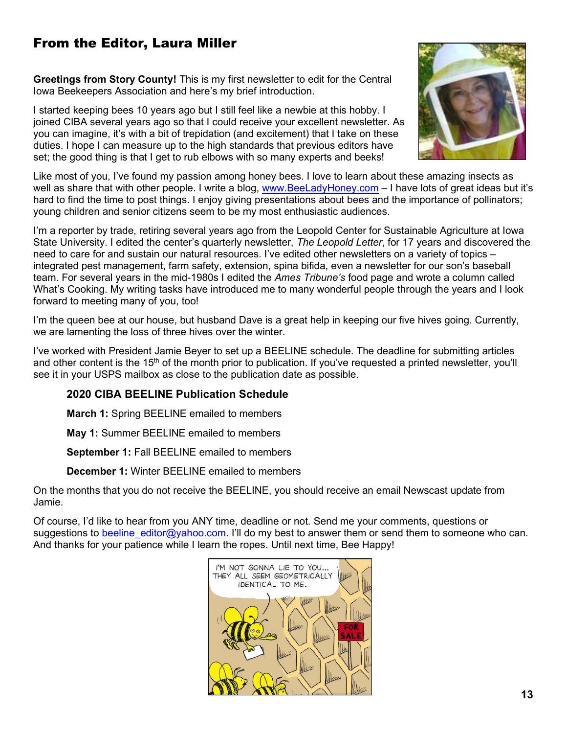### <span id="page-12-0"></span>From the Editor, Laura Miller

**Greetings from Story County!** This is my first newsletter to edit for the Central Iowa Beekeepers Association and here's my brief introduction.

I started keeping bees 10 years ago but I still feel like a newbie at this hobby. I joined CIBA several years ago so that I could receive your excellent newsletter. As you can imagine, it's with a bit of trepidation (and excitement) that I take on these duties. I hope I can measure up to the high standards that previous editors have set; the good thing is that I get to rub elbows with so many experts and beeks!



Like most of you, I've found my passion among honey bees. I love to learn about these amazing insects as well as share that with other people. I write a blog, [www.BeeLadyHoney.com](http://www.beeladyhoney.com/) – I have lots of great ideas but it's hard to find the time to post things. I enjoy giving presentations about bees and the importance of pollinators; young children and senior citizens seem to be my most enthusiastic audiences.

I'm a reporter by trade, retiring several years ago from the Leopold Center for Sustainable Agriculture at Iowa State University. I edited the center's quarterly newsletter, *The Leopold Letter*, for 17 years and discovered the need to care for and sustain our natural resources. I've edited other newsletters on a variety of topics – integrated pest management, farm safety, extension, spina bifida, even a newsletter for our son's baseball team. For several years in the mid-1980s I edited the *Ames Tribune's* food page and wrote a column called What's Cooking. My writing tasks have introduced me to many wonderful people through the years and I look forward to meeting many of you, too!

I'm the queen bee at our house, but husband Dave is a great help in keeping our five hives going. Currently, we are lamenting the loss of three hives over the winter.

I've worked with President Jamie Beyer to set up a BEELINE schedule. The deadline for submitting articles and other content is the 15<sup>th</sup> of the month prior to publication. If you've requested a printed newsletter, you'll see it in your USPS mailbox as close to the publication date as possible.

### **2020 CIBA BEELINE Publication Schedule**

**March 1:** Spring BEELINE emailed to members

**May 1:** Summer BEELINE emailed to members

**September 1:** Fall BEELINE emailed to members

**December 1:** Winter BEELINE emailed to members

On the months that you do not receive the BEELINE, you should receive an email Newscast update from Jamie.

Of course, I'd like to hear from you ANY time, deadline or not. Send me your comments, questions or suggestions to beeline editor@yahoo.com. I'll do my best to answer them or send them to someone who can. And thanks for your patience while I learn the ropes. Until next time, Bee Happy!

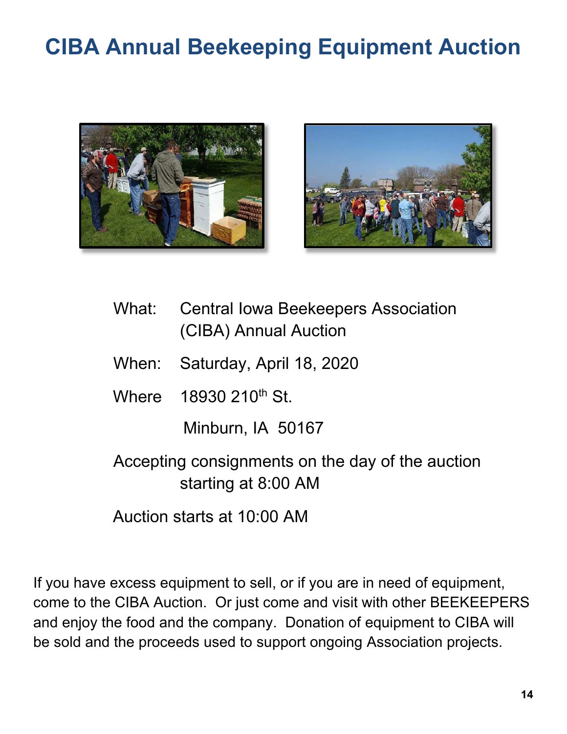## <span id="page-13-0"></span>**CIBA Annual Beekeeping Equipment Auction**





- What: Central Iowa Beekeepers Association (CIBA) Annual Auction
- When: Saturday, April 18, 2020
- Where 18930 210<sup>th</sup> St.

Minburn, IA 50167

Accepting consignments on the day of the auction starting at 8:00 AM

Auction starts at 10:00 AM

If you have excess equipment to sell, or if you are in need of equipment, come to the CIBA Auction. Or just come and visit with other BEEKEEPERS and enjoy the food and the company. Donation of equipment to CIBA will be sold and the proceeds used to support ongoing Association projects.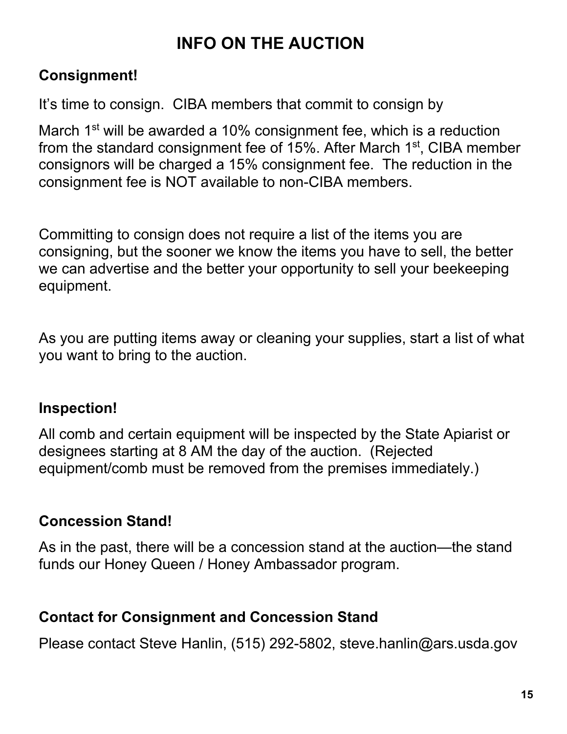### **INFO ON THE AUCTION**

### **Consignment!**

It's time to consign. CIBA members that commit to consign by

March 1<sup>st</sup> will be awarded a 10% consignment fee, which is a reduction from the standard consignment fee of 15%. After March 1st, CIBA member consignors will be charged a 15% consignment fee. The reduction in the consignment fee is NOT available to non-CIBA members.

Committing to consign does not require a list of the items you are consigning, but the sooner we know the items you have to sell, the better we can advertise and the better your opportunity to sell your beekeeping equipment.

As you are putting items away or cleaning your supplies, start a list of what you want to bring to the auction.

### **Inspection!**

All comb and certain equipment will be inspected by the State Apiarist or designees starting at 8 AM the day of the auction. (Rejected equipment/comb must be removed from the premises immediately.)

### **Concession Stand!**

As in the past, there will be a concession stand at the auction—the stand funds our Honey Queen / Honey Ambassador program.

### **Contact for Consignment and Concession Stand**

Please contact Steve Hanlin, (515) 292-5802, steve.hanlin@ars.usda.gov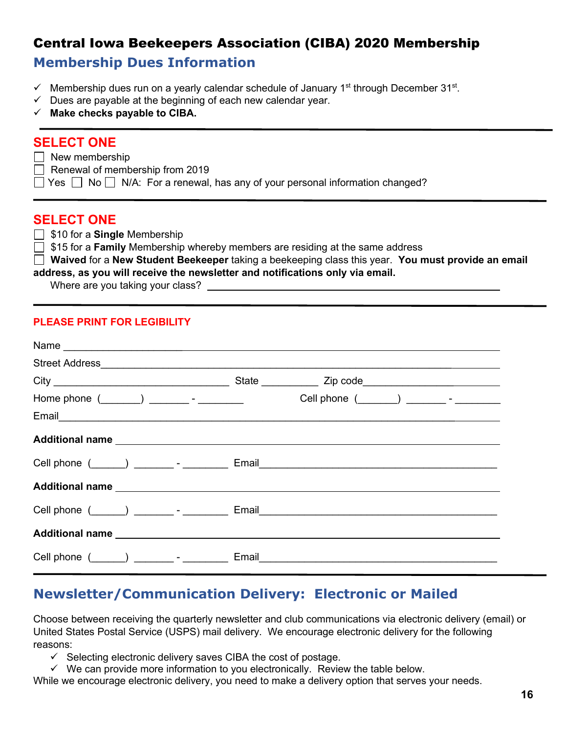### <span id="page-15-0"></span>Central Iowa Beekeepers Association (CIBA) 2020 Membership **Membership Dues Information**

- $\checkmark$  Membership dues run on a yearly calendar schedule of January 1<sup>st</sup> through December 31<sup>st</sup>.
- $\checkmark$  Dues are payable at the beginning of each new calendar year.
- **Make checks payable to CIBA.**

### **SELECT ONE**

- $\Box$  New membership
- $\Box$  Renewal of membership from 2019
- $\Box$  Yes  $\Box$  No  $\Box$  N/A: For a renewal, has any of your personal information changed?

### **SELECT ONE**

- \$10 for a **Single** Membership
- **15 for a Family** Membership whereby members are residing at the same address
- **Waived** for a **New Student Beekeeper** taking a beekeeping class this year. **You must provide an email address, as you will receive the newsletter and notifications only via email.**

Where are you taking your class?

#### **PLEASE PRINT FOR LEGIBILITY**

| Home phone $(\_\_\_\_)$ _________ - ________ | Cell phone $(\_\_\_\_)$ __________ - _________ |  |  |  |
|----------------------------------------------|------------------------------------------------|--|--|--|
|                                              |                                                |  |  |  |
|                                              |                                                |  |  |  |
|                                              |                                                |  |  |  |
|                                              |                                                |  |  |  |
|                                              |                                                |  |  |  |
|                                              |                                                |  |  |  |
| Cell phone $($ $)$ $)$ $)$ $      -$         |                                                |  |  |  |

### **Newsletter/Communication Delivery: Electronic or Mailed**

Choose between receiving the quarterly newsletter and club communications via electronic delivery (email) or United States Postal Service (USPS) mail delivery. We encourage electronic delivery for the following reasons:

- $\checkmark$  Selecting electronic delivery saves CIBA the cost of postage.
- $\checkmark$  We can provide more information to you electronically. Review the table below.

While we encourage electronic delivery, you need to make a delivery option that serves your needs.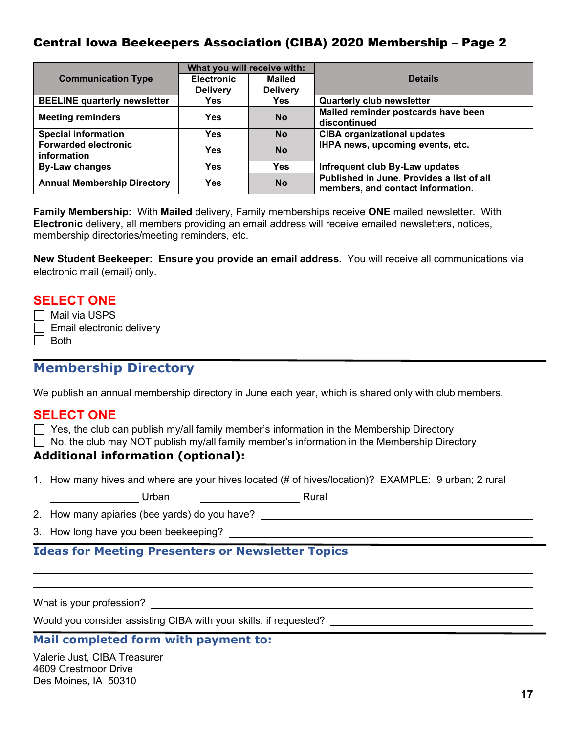### Central Iowa Beekeepers Association (CIBA) 2020 Membership – Page 2

|                                            | What you will receive with: |                 |                                                                                |  |
|--------------------------------------------|-----------------------------|-----------------|--------------------------------------------------------------------------------|--|
| <b>Communication Type</b>                  | <b>Electronic</b>           | <b>Mailed</b>   | <b>Details</b>                                                                 |  |
|                                            | <b>Delivery</b>             | <b>Delivery</b> |                                                                                |  |
| <b>BEELINE quarterly newsletter</b>        | <b>Yes</b>                  | <b>Yes</b>      | <b>Quarterly club newsletter</b>                                               |  |
| <b>Meeting reminders</b>                   | <b>Yes</b>                  | <b>No</b>       | Mailed reminder postcards have been                                            |  |
|                                            |                             |                 | discontinued                                                                   |  |
| <b>Special information</b>                 | <b>Yes</b>                  | <b>No</b>       | <b>CIBA organizational updates</b>                                             |  |
| <b>Forwarded electronic</b><br>information | Yes                         | <b>No</b>       | IHPA news, upcoming events, etc.                                               |  |
| <b>By-Law changes</b>                      | <b>Yes</b>                  | <b>Yes</b>      | Infrequent club By-Law updates                                                 |  |
| <b>Annual Membership Directory</b>         | <b>Yes</b>                  | <b>No</b>       | Published in June. Provides a list of all<br>members, and contact information. |  |

**Family Membership:** With **Mailed** delivery, Family memberships receive **ONE** mailed newsletter. With **Electronic** delivery, all members providing an email address will receive emailed newsletters, notices, membership directories/meeting reminders, etc.

**New Student Beekeeper: Ensure you provide an email address.** You will receive all communications via electronic mail (email) only.

### **SELECT ONE**

| Mail via USPS             |
|---------------------------|
| Email electronic delivery |

 $\Box$  Both

### **Membership Directory**

We publish an annual membership directory in June each year, which is shared only with club members.

### **SELECT ONE**

 $\Box$  Yes, the club can publish my/all family member's information in the Membership Directory

 $\Box$  No, the club may NOT publish my/all family member's information in the Membership Directory

### **Additional information (optional):**

1. How many hives and where are your hives located (# of hives/location)? EXAMPLE: 9 urban; 2 rural

| Urban |  | Rural |
|-------|--|-------|
|       |  |       |

2. How many apiaries (bee yards) do you have?

3. How long have you been beekeeping?

### **Ideas for Meeting Presenters or Newsletter Topics**

What is your profession?

l,  $\overline{a}$ 

Would you consider assisting CIBA with your skills, if requested?

#### **Mail completed form with payment to:**

Valerie Just, CIBA Treasurer 4609 Crestmoor Drive Des Moines, IA 50310